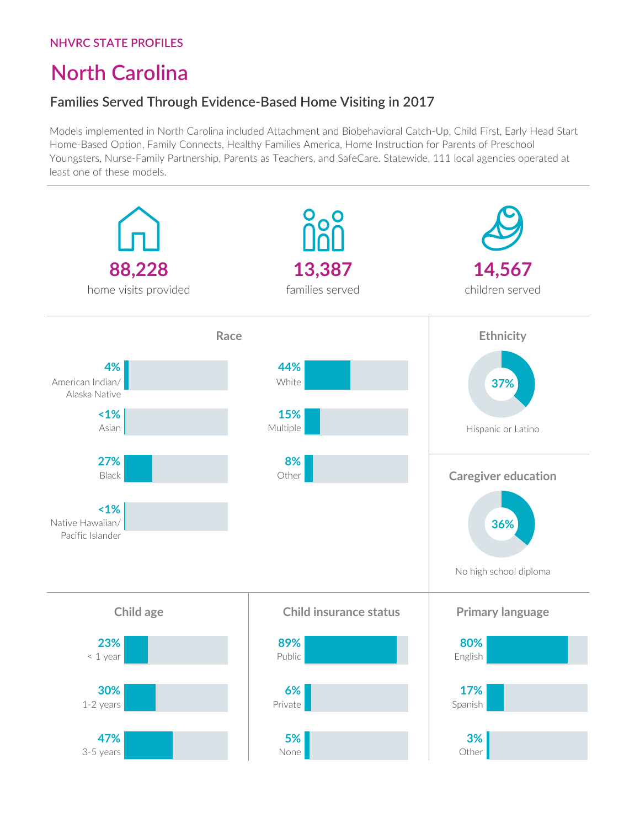# **North Carolina**

## **Families Served Through Evidence-Based Home Visiting in 2017**

Models implemented in North Carolina included Attachment and Biobehavioral Catch-Up, Child First, Early Head Start Home-Based Option, Family Connects, Healthy Families America, Home Instruction for Parents of Preschool Youngsters, Nurse-Family Partnership, Parents as Teachers, and SafeCare. Statewide, 111 local agencies operated at least one of these models.